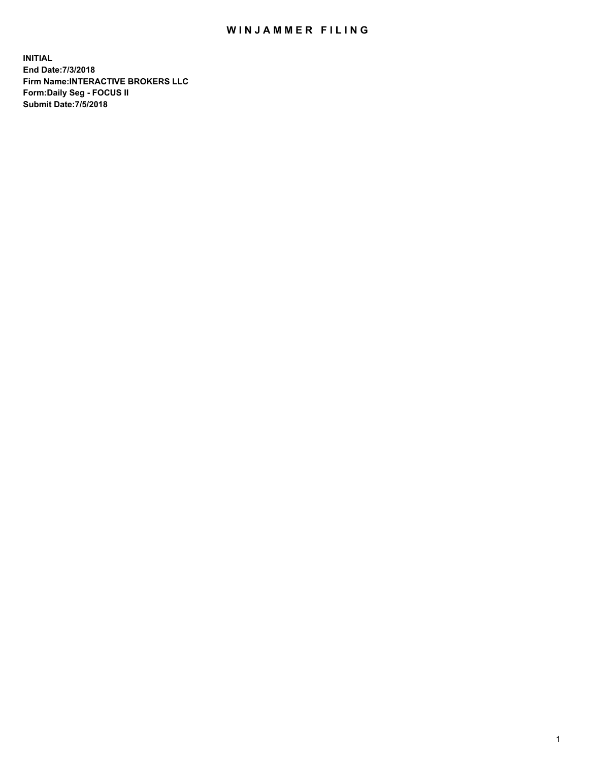## WIN JAMMER FILING

**INITIAL End Date:7/3/2018 Firm Name:INTERACTIVE BROKERS LLC Form:Daily Seg - FOCUS II Submit Date:7/5/2018**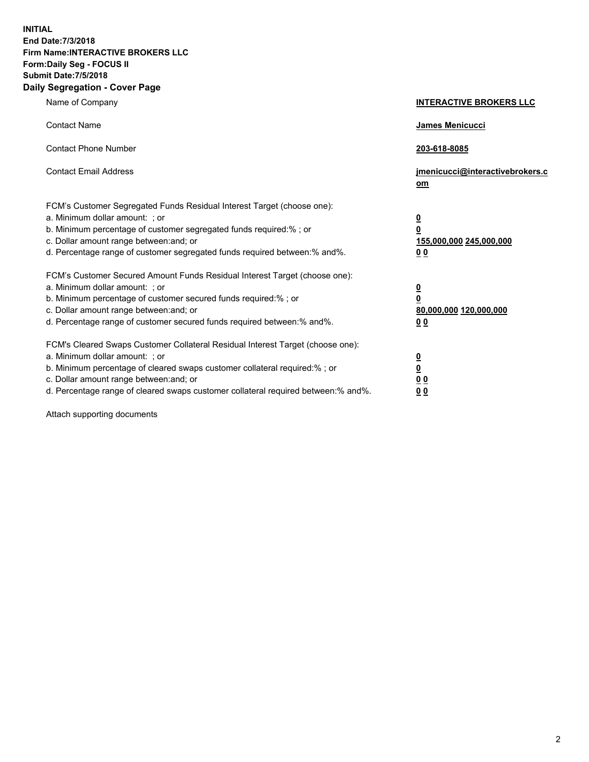**INITIAL End Date:7/3/2018 Firm Name:INTERACTIVE BROKERS LLC Form:Daily Seg - FOCUS II Submit Date:7/5/2018 Daily Segregation - Cover Page**

| Name of Company                                                                                                                                                                                                                                                                                                                | <b>INTERACTIVE BROKERS LLC</b>                                                                  |
|--------------------------------------------------------------------------------------------------------------------------------------------------------------------------------------------------------------------------------------------------------------------------------------------------------------------------------|-------------------------------------------------------------------------------------------------|
| <b>Contact Name</b>                                                                                                                                                                                                                                                                                                            | <b>James Menicucci</b>                                                                          |
| <b>Contact Phone Number</b>                                                                                                                                                                                                                                                                                                    | 203-618-8085                                                                                    |
| <b>Contact Email Address</b>                                                                                                                                                                                                                                                                                                   | jmenicucci@interactivebrokers.c<br>om                                                           |
| FCM's Customer Segregated Funds Residual Interest Target (choose one):<br>a. Minimum dollar amount: ; or<br>b. Minimum percentage of customer segregated funds required:% ; or<br>c. Dollar amount range between: and; or<br>d. Percentage range of customer segregated funds required between:% and%.                         | $\overline{\mathbf{0}}$<br>$\overline{\mathbf{0}}$<br>155,000,000 245,000,000<br>0 <sub>0</sub> |
| FCM's Customer Secured Amount Funds Residual Interest Target (choose one):<br>a. Minimum dollar amount: ; or<br>b. Minimum percentage of customer secured funds required:%; or<br>c. Dollar amount range between: and; or<br>d. Percentage range of customer secured funds required between:% and%.                            | $\overline{\mathbf{0}}$<br>$\mathbf 0$<br>80,000,000 120,000,000<br>0 <sub>0</sub>              |
| FCM's Cleared Swaps Customer Collateral Residual Interest Target (choose one):<br>a. Minimum dollar amount: ; or<br>b. Minimum percentage of cleared swaps customer collateral required:% ; or<br>c. Dollar amount range between: and; or<br>d. Percentage range of cleared swaps customer collateral required between:% and%. | $\overline{\mathbf{0}}$<br>$\underline{\mathbf{0}}$<br>0 <sub>0</sub><br>0 <sub>0</sub>         |

Attach supporting documents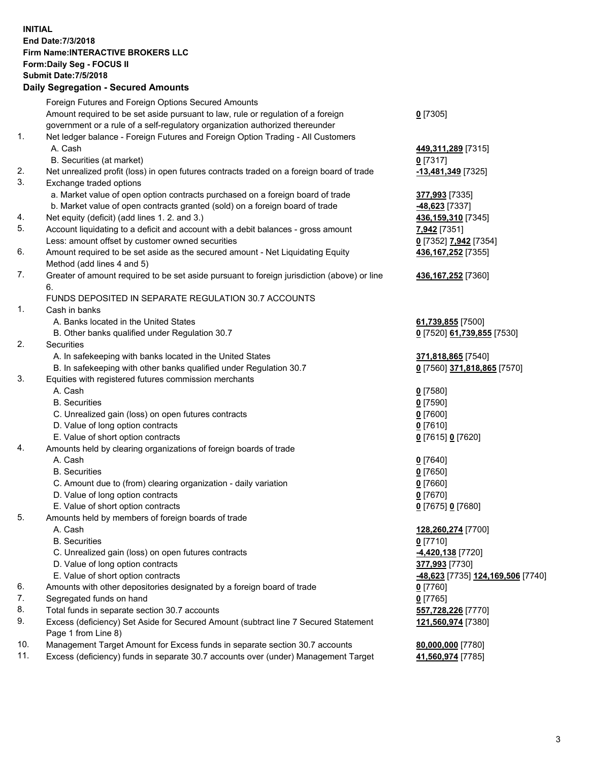## **INITIAL End Date:7/3/2018 Firm Name:INTERACTIVE BROKERS LLC Form:Daily Seg - FOCUS II Submit Date:7/5/2018 Daily Segregation - Secured Amounts**

|     | 2011, Ocglegation - Oceaned Anioanto                                                        |                                   |
|-----|---------------------------------------------------------------------------------------------|-----------------------------------|
|     | Foreign Futures and Foreign Options Secured Amounts                                         |                                   |
|     | Amount required to be set aside pursuant to law, rule or regulation of a foreign            | $0$ [7305]                        |
|     | government or a rule of a self-regulatory organization authorized thereunder                |                                   |
| 1.  | Net ledger balance - Foreign Futures and Foreign Option Trading - All Customers             |                                   |
|     | A. Cash                                                                                     | 449, 311, 289 [7315]              |
|     | B. Securities (at market)                                                                   | $0$ [7317]                        |
| 2.  | Net unrealized profit (loss) in open futures contracts traded on a foreign board of trade   | -13,481,349 [7325]                |
| 3.  | Exchange traded options                                                                     |                                   |
|     | a. Market value of open option contracts purchased on a foreign board of trade              | 377,993 [7335]                    |
|     | b. Market value of open contracts granted (sold) on a foreign board of trade                | 48,623 [7337]                     |
| 4.  | Net equity (deficit) (add lines 1. 2. and 3.)                                               | 436,159,310 [7345]                |
| 5.  | Account liquidating to a deficit and account with a debit balances - gross amount           | 7,942 [7351]                      |
|     | Less: amount offset by customer owned securities                                            | 0 [7352] 7,942 [7354]             |
| 6.  | Amount required to be set aside as the secured amount - Net Liquidating Equity              | 436, 167, 252 [7355]              |
|     | Method (add lines 4 and 5)                                                                  |                                   |
| 7.  | Greater of amount required to be set aside pursuant to foreign jurisdiction (above) or line | 436, 167, 252 [7360]              |
|     | 6.                                                                                          |                                   |
|     | FUNDS DEPOSITED IN SEPARATE REGULATION 30.7 ACCOUNTS                                        |                                   |
| 1.  | Cash in banks                                                                               |                                   |
|     | A. Banks located in the United States                                                       | 61,739,855 [7500]                 |
|     | B. Other banks qualified under Regulation 30.7                                              | 0 [7520] 61,739,855 [7530]        |
| 2.  | Securities                                                                                  |                                   |
|     | A. In safekeeping with banks located in the United States                                   | 371,818,865 [7540]                |
|     | B. In safekeeping with other banks qualified under Regulation 30.7                          | 0 [7560] 371,818,865 [7570]       |
| 3.  | Equities with registered futures commission merchants                                       |                                   |
|     | A. Cash                                                                                     | $0$ [7580]                        |
|     | <b>B.</b> Securities                                                                        | $0$ [7590]                        |
|     | C. Unrealized gain (loss) on open futures contracts                                         | $0$ [7600]                        |
|     | D. Value of long option contracts                                                           | $0$ [7610]                        |
|     | E. Value of short option contracts                                                          | 0 [7615] 0 [7620]                 |
| 4.  | Amounts held by clearing organizations of foreign boards of trade                           |                                   |
|     | A. Cash                                                                                     | $0$ [7640]                        |
|     | <b>B.</b> Securities                                                                        | $0$ [7650]                        |
|     | C. Amount due to (from) clearing organization - daily variation                             | $0$ [7660]                        |
|     | D. Value of long option contracts<br>E. Value of short option contracts                     | $0$ [7670]                        |
| 5.  |                                                                                             | 0 [7675] 0 [7680]                 |
|     | Amounts held by members of foreign boards of trade<br>A. Cash                               |                                   |
|     | <b>B.</b> Securities                                                                        | 128,260,274 [7700]<br>$0$ [7710]  |
|     | C. Unrealized gain (loss) on open futures contracts                                         | -4,420,138 [7720]                 |
|     | D. Value of long option contracts                                                           | 377,993 [7730]                    |
|     | E. Value of short option contracts                                                          | -48,623 [7735] 124,169,506 [7740] |
| 6.  | Amounts with other depositories designated by a foreign board of trade                      | $0$ [7760]                        |
| 7.  | Segregated funds on hand                                                                    | $0$ [7765]                        |
| 8.  | Total funds in separate section 30.7 accounts                                               | 557,728,226 [7770]                |
| 9.  | Excess (deficiency) Set Aside for Secured Amount (subtract line 7 Secured Statement         | 121,560,974 [7380]                |
|     | Page 1 from Line 8)                                                                         |                                   |
| 10. | Management Target Amount for Excess funds in separate section 30.7 accounts                 | 80,000,000 [7780]                 |
| 11. | Excess (deficiency) funds in separate 30.7 accounts over (under) Management Target          | 41,560,974 [7785]                 |
|     |                                                                                             |                                   |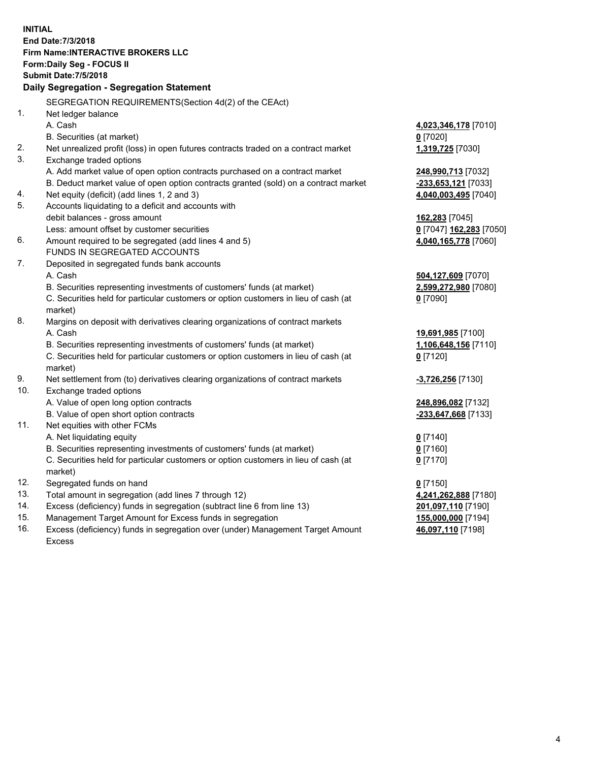**INITIAL End Date:7/3/2018 Firm Name:INTERACTIVE BROKERS LLC Form:Daily Seg - FOCUS II Submit Date:7/5/2018 Daily Segregation - Segregation Statement** SEGREGATION REQUIREMENTS(Section 4d(2) of the CEAct) 1. Net ledger balance A. Cash **4,023,346,178** [7010] B. Securities (at market) **0** [7020] 2. Net unrealized profit (loss) in open futures contracts traded on a contract market **1,319,725** [7030] 3. Exchange traded options A. Add market value of open option contracts purchased on a contract market **248,990,713** [7032] B. Deduct market value of open option contracts granted (sold) on a contract market **-233,653,121** [7033] 4. Net equity (deficit) (add lines 1, 2 and 3) **4,040,003,495** [7040] 5. Accounts liquidating to a deficit and accounts with debit balances - gross amount **162,283** [7045] Less: amount offset by customer securities **0** [7047] **162,283** [7050] 6. Amount required to be segregated (add lines 4 and 5) **4,040,165,778** [7060] FUNDS IN SEGREGATED ACCOUNTS 7. Deposited in segregated funds bank accounts A. Cash **504,127,609** [7070] B. Securities representing investments of customers' funds (at market) **2,599,272,980** [7080] C. Securities held for particular customers or option customers in lieu of cash (at market) **0** [7090] 8. Margins on deposit with derivatives clearing organizations of contract markets A. Cash **19,691,985** [7100] B. Securities representing investments of customers' funds (at market) **1,106,648,156** [7110] C. Securities held for particular customers or option customers in lieu of cash (at market) **0** [7120] 9. Net settlement from (to) derivatives clearing organizations of contract markets **-3,726,256** [7130] 10. Exchange traded options A. Value of open long option contracts **248,896,082** [7132] B. Value of open short option contracts **-233,647,668** [7133] 11. Net equities with other FCMs A. Net liquidating equity **0** [7140] B. Securities representing investments of customers' funds (at market) **0** [7160] C. Securities held for particular customers or option customers in lieu of cash (at market) **0** [7170] 12. Segregated funds on hand **0** [7150] 13. Total amount in segregation (add lines 7 through 12) **4,241,262,888** [7180] 14. Excess (deficiency) funds in segregation (subtract line 6 from line 13) **201,097,110** [7190] 15. Management Target Amount for Excess funds in segregation **155,000,000** [7194] **46,097,110** [7198]

16. Excess (deficiency) funds in segregation over (under) Management Target Amount Excess